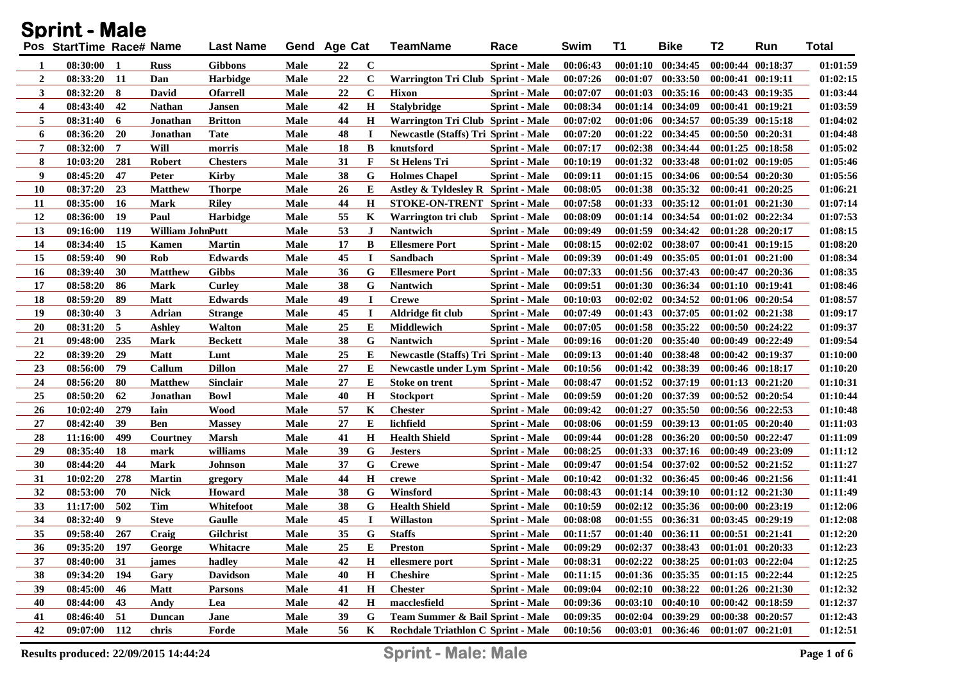|                | <b>Sprint - Male</b>     |           |                  |                  |             |              |             |                                             |                      |          |          |                                             |                       |                       |              |
|----------------|--------------------------|-----------|------------------|------------------|-------------|--------------|-------------|---------------------------------------------|----------------------|----------|----------|---------------------------------------------|-----------------------|-----------------------|--------------|
|                | Pos StartTime Race# Name |           |                  | <b>Last Name</b> |             | Gend Age Cat |             | <b>TeamName</b>                             | Race                 | Swim     | T1       | <b>Bike</b>                                 | <b>T2</b>             | Run                   | <b>Total</b> |
| 1              | $08:30:00$ 1             |           | <b>Russ</b>      | <b>Gibbons</b>   | Male        | 22           | $\mathbf C$ |                                             | <b>Sprint - Male</b> | 00:06:43 |          | $00:01:10$ $00:34:45$                       |                       | $00:00:44$ $00:18:37$ | 01:01:59     |
| $\overline{2}$ | $08:33:20$ 11            |           | Dan              | <b>Harbidge</b>  | Male        | 22           | $\mathbf C$ | Warrington Tri Club Sprint - Male           |                      | 00:07:26 | 00:01:07 | 00:33:50                                    |                       | $00:00:41$ $00:19:11$ | 01:02:15     |
| 3              | 08:32:20                 | 8         | David            | <b>Ofarrell</b>  | Male        | 22           | $\mathbf C$ | <b>Hixon</b>                                | <b>Sprint - Male</b> | 00:07:07 | 00:01:03 | 00:35:16                                    |                       | $00:00:43$ $00:19:35$ | 01:03:44     |
| $\overline{4}$ | 08:43:40                 | 42        | <b>Nathan</b>    | <b>Jansen</b>    | Male        | 42           | $\bf H$     | <b>Stalybridge</b>                          | <b>Sprint - Male</b> | 00:08:34 |          | 00:01:14 00:34:09                           |                       | $00:00:41$ $00:19:21$ | 01:03:59     |
| 5              | 08:31:40                 | 6         | Jonathan         | <b>Britton</b>   | Male        | 44           | Н           | Warrington Tri Club Sprint - Male           |                      | 00:07:02 |          | 00:01:06 00:34:57                           |                       | $00:05:39$ $00:15:18$ | 01:04:02     |
| 6              | 08:36:20                 | 20        | Jonathan         | <b>Tate</b>      | Male        | 48           | $\bf{I}$    | <b>Newcastle (Staffs) Tri Sprint - Male</b> |                      | 00:07:20 | 00:01:22 | 00:34:45                                    | 00:00:50 00:20:31     |                       | 01:04:48     |
| $\overline{7}$ | 08:32:00                 | 7         | Will             | morris           | Male        | 18           | B           | knutsford                                   | <b>Sprint</b> - Male | 00:07:17 |          | 00:02:38 00:34:44                           | $00:01:25$ $00:18:58$ |                       | 01:05:02     |
| 8              | 10:03:20                 | 281       | <b>Robert</b>    | <b>Chesters</b>  | Male        | 31           | F           | <b>St Helens Tri</b>                        | <b>Sprint</b> - Male | 00:10:19 |          | $00:01:32$ $00:33:48$                       | $00:01:02$ $00:19:05$ |                       | 01:05:46     |
| 9              | 08:45:20                 | 47        | Peter            | <b>Kirby</b>     | Male        | 38           | G           | <b>Holmes Chapel</b>                        | <b>Sprint</b> - Male | 00:09:11 |          | 00:01:15 00:34:06 00:00:54 00:20:30         |                       |                       | 01:05:56     |
| 10             | 08:37:20                 | 23        | <b>Matthew</b>   | <b>Thorpe</b>    | Male        | 26           | E           | Astley & Tyldesley R Sprint - Male          |                      | 00:08:05 |          | 00:01:38 00:35:32                           | $00:00:41$ $00:20:25$ |                       | 01:06:21     |
| 11             | 08:35:00                 | <b>16</b> | Mark             | <b>Riley</b>     | Male        | 44           | $\bf H$     | <b>STOKE-ON-TRENT Sprint - Male</b>         |                      | 00:07:58 |          | 00:01:33 00:35:12                           | 00:01:01 00:21:30     |                       | 01:07:14     |
| 12             | 08:36:00                 | 19        | Paul             | <b>Harbidge</b>  | Male        | 55           | K           | Warrington tri club                         | <b>Sprint</b> - Male | 00:08:09 |          | 00:01:14 00:34:54                           | $00:01:02$ $00:22:34$ |                       | 01:07:53     |
| 13             | 09:16:00                 | 119       | William JohnPutt |                  | Male        | 53           | $\bf J$     | <b>Nantwich</b>                             | <b>Sprint - Male</b> | 00:09:49 |          | 00:01:59 00:34:42                           | $00:01:28$ $00:20:17$ |                       | 01:08:15     |
| 14             | 08:34:40                 | 15        | Kamen            | <b>Martin</b>    | Male        | 17           | B           | <b>Ellesmere Port</b>                       | <b>Sprint - Male</b> | 00:08:15 |          | 00:02:02 00:38:07                           | 00:00:41 00:19:15     |                       | 01:08:20     |
| 15             | 08:59:40                 | 90        | Rob              | <b>Edwards</b>   | Male        | 45           | $\bf{I}$    | Sandbach                                    | <b>Sprint - Male</b> | 00:09:39 |          | 00:01:49 00:35:05                           |                       | $00:01:01$ $00:21:00$ | 01:08:34     |
| 16             | 08:39:40                 | 30        | <b>Matthew</b>   | <b>Gibbs</b>     | Male        | 36           | G           | <b>Ellesmere Port</b>                       | <b>Sprint - Male</b> | 00:07:33 |          | 00:01:56 00:37:43                           |                       | 00:00:47 00:20:36     | 01:08:35     |
| 17             | 08:58:20                 | 86        | Mark             | Curley           | Male        | 38           | G           | Nantwich                                    | <b>Sprint - Male</b> | 00:09:51 |          | 00:01:30 00:36:34                           | 00:01:10 00:19:41     |                       | 01:08:46     |
| 18             | 08:59:20                 | 89        | <b>Matt</b>      | <b>Edwards</b>   | Male        | 49           | $\bf{I}$    | <b>Crewe</b>                                | <b>Sprint - Male</b> | 00:10:03 |          | $00:02:02$ $00:34:52$                       | $00:01:06$ $00:20:54$ |                       | 01:08:57     |
| 19             | 08:30:40                 | 3         | Adrian           | <b>Strange</b>   | Male        | 45           | $\bf{I}$    | Aldridge fit club                           | <b>Sprint - Male</b> | 00:07:49 |          | $00:01:43$ $00:37:05$                       |                       | $00:01:02$ $00:21:38$ | 01:09:17     |
| 20             | 08:31:20                 | 5         | <b>Ashley</b>    | <b>Walton</b>    | Male        | 25           | E           | <b>Middlewich</b>                           | <b>Sprint - Male</b> | 00:07:05 |          | 00:01:58 00:35:22                           | $00:00:50$ $00:24:22$ |                       | 01:09:37     |
| 21             | 09:48:00                 | 235       | <b>Mark</b>      | <b>Beckett</b>   | Male        | 38           | G           | <b>Nantwich</b>                             | <b>Sprint - Male</b> | 00:09:16 |          | $00:01:20$ $00:35:40$                       | $00:00:49$ $00:22:49$ |                       | 01:09:54     |
| 22             | 08:39:20                 | 29        | <b>Matt</b>      | Lunt             | Male        | 25           | E           | <b>Newcastle (Staffs) Tri Sprint - Male</b> |                      | 00:09:13 |          | 00:01:40 00:38:48                           | $00:00:42$ $00:19:37$ |                       | 01:10:00     |
| 23             | 08:56:00                 | 79        | Callum           | <b>Dillon</b>    | <b>Male</b> | 27           | E           | <b>Newcastle under Lym Sprint - Male</b>    |                      | 00:10:56 |          | 00:01:42 00:38:39                           | $00:00:46$ $00:18:17$ |                       | 01:10:20     |
| 24             | 08:56:20                 | 80        | <b>Matthew</b>   | <b>Sinclair</b>  | Male        | 27           | E           | Stoke on trent                              | <b>Sprint - Male</b> | 00:08:47 |          | 00:01:52 00:37:19                           |                       | $00:01:13$ $00:21:20$ | 01:10:31     |
| 25             | 08:50:20                 | 62        | Jonathan         | <b>Bowl</b>      | Male        | 40           | H           | <b>Stockport</b>                            | <b>Sprint - Male</b> | 00:09:59 |          | 00:01:20 00:37:39                           | $00:00:52$ $00:20:54$ |                       | 01:10:44     |
| 26             | 10:02:40                 | 279       | Iain             | <b>Wood</b>      | Male        | 57           | K           | <b>Chester</b>                              | <b>Sprint - Male</b> | 00:09:42 | 00:01:27 | 00:35:50                                    | 00:00:56 00:22:53     |                       | 01:10:48     |
| 27             | 08:42:40                 | 39        | Ben              | <b>Massey</b>    | Male        | 27           | E           | lichfield                                   | <b>Sprint - Male</b> | 00:08:06 |          | 00:01:59 00:39:13                           |                       | $00:01:05$ $00:20:40$ | 01:11:03     |
| 28             | 11:16:00                 | 499       | Courtney         | <b>Marsh</b>     | Male        | 41           | $\bf H$     | <b>Health Shield</b>                        | <b>Sprint - Male</b> | 00:09:44 | 00:01:28 | 00:36:20                                    | $00:00:50$ $00:22:47$ |                       | 01:11:09     |
| 29             | 08:35:40                 | 18        | mark             | williams         | Male        | 39           | G           | <b>Jesters</b>                              | <b>Sprint - Male</b> | 00:08:25 |          | 00:01:33 00:37:16                           | 00:00:49 00:23:09     |                       | 01:11:12     |
| 30             | 08:44:20                 | 44        | <b>Mark</b>      | Johnson          | Male        | 37           | G           | <b>Crewe</b>                                | <b>Sprint - Male</b> | 00:09:47 |          | $00:01:54$ $00:37:02$                       | $00:00:52$ $00:21:52$ |                       | 01:11:27     |
| 31             | 10:02:20                 | 278       | <b>Martin</b>    | gregory          | Male        | 44           | $\mathbf H$ | crewe                                       | <b>Sprint - Male</b> | 00:10:42 |          | 00:01:32 00:36:45                           |                       | 00:00:46 00:21:56     | 01:11:41     |
| 32             | 08:53:00                 | 70        | <b>Nick</b>      | <b>Howard</b>    | Male        | 38           | G           | Winsford                                    | <b>Sprint - Male</b> | 00:08:43 |          | 00:01:14 00:39:10                           |                       | $00:01:12$ $00:21:30$ | 01:11:49     |
| 33             | 11:17:00                 | 502       | Tim              | Whitefoot        | <b>Male</b> | 38           | G           | <b>Health Shield</b>                        | <b>Sprint - Male</b> | 00:10:59 |          | $00:02:12$ $00:35:36$                       |                       | $00:00:00$ $00:23:19$ | 01:12:06     |
| 34             | 08:32:40                 | 9         | <b>Steve</b>     | Gaulle           | <b>Male</b> | 45           | $\bf{I}$    | Willaston                                   | <b>Sprint - Male</b> | 00:08:08 |          | 00:01:55 00:36:31 00:03:45 00:29:19         |                       |                       | 01:12:08     |
| 35             | 09:58:40                 | 267       | Craig            | Gilchrist        | Male        | 35           | G           | <b>Staffs</b>                               | <b>Sprint - Male</b> | 00:11:57 |          | $00:01:40$ $00:36:11$ $00:00:51$ $00:21:41$ |                       |                       | 01:12:20     |
| 36             | 09:35:20                 | 197       | George           | Whitacre         | <b>Male</b> | 25           | E           | <b>Preston</b>                              | <b>Sprint - Male</b> | 00:09:29 |          | $00:02:37$ $00:38:43$                       | $00:01:01$ $00:20:33$ |                       | 01:12:23     |
| 37             | 08:40:00                 | 31        | james            | hadley           | <b>Male</b> | 42           | $\bf H$     | ellesmere port                              | Sprint - Male        | 00:08:31 |          | 00:02:22 00:38:25 00:01:03 00:22:04         |                       |                       | 01:12:25     |
| 38             | 09:34:20                 | 194       | Gary             | <b>Davidson</b>  | <b>Male</b> | 40           | $\mathbf H$ | <b>Cheshire</b>                             | <b>Sprint</b> - Male | 00:11:15 |          | 00:01:36 00:35:35 00:01:15 00:22:44         |                       |                       | 01:12:25     |
| 39             | 08:45:00                 | 46        | <b>Matt</b>      | <b>Parsons</b>   | Male        | 41           | $\bf H$     | <b>Chester</b>                              | <b>Sprint - Male</b> | 00:09:04 |          | $00:02:10$ $00:38:22$                       | 00:01:26 00:21:30     |                       | 01:12:32     |
| 40             | 08:44:00                 | 43        | Andy             | Lea              | Male        | 42           | $\bf H$     | macclesfield                                | <b>Sprint - Male</b> | 00:09:36 |          | $00:03:10$ $00:40:10$                       | 00:00:42 00:18:59     |                       | 01:12:37     |
| 41             | 08:46:40                 | 51        | Duncan           | Jane             | Male        | 39           | G           | Team Summer & Bail Sprint - Male            |                      | 00:09:35 |          | $00:02:04$ $00:39:29$                       | 00:00:38 00:20:57     |                       | 01:12:43     |
| 42             | 09:07:00                 | 112       | chris            | Forde            | Male        | 56           | K           | Rochdale Triathlon C Sprint - Male          |                      | 00:10:56 |          | 00:03:01 00:36:46 00:01:07 00:21:01         |                       |                       | 01:12:51     |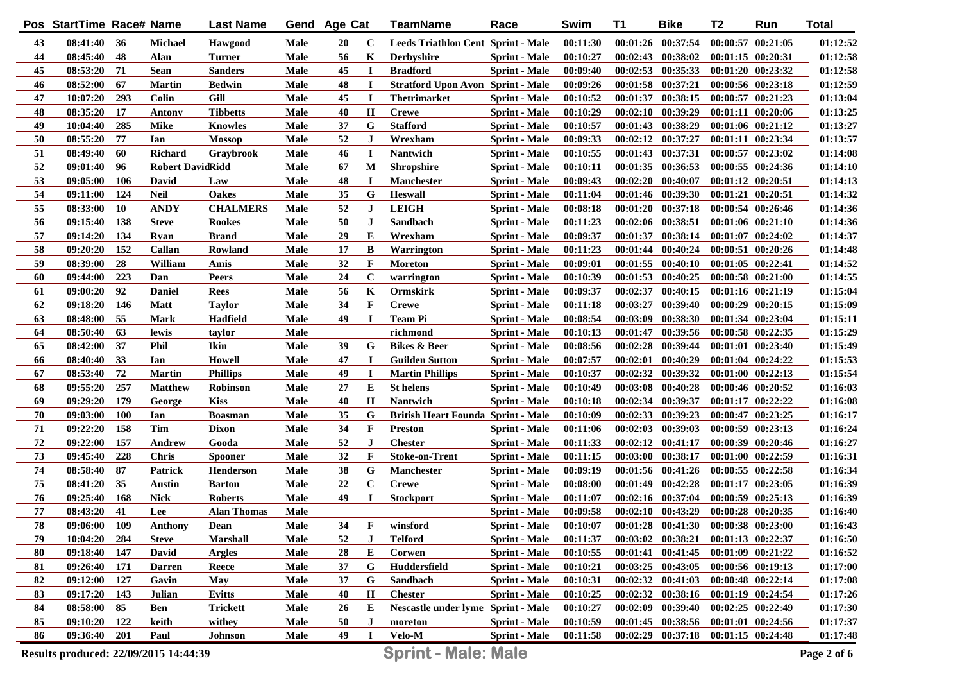|            | Pos StartTime Race# Name              |            |                         | <b>Last Name</b>              |              | Gend Age Cat |                | <b>TeamName</b>                           | Race                                         | Swim                 | <b>T1</b> | <b>Bike</b>                                    | T <sub>2</sub>        | Run                                    | <b>Total</b>         |
|------------|---------------------------------------|------------|-------------------------|-------------------------------|--------------|--------------|----------------|-------------------------------------------|----------------------------------------------|----------------------|-----------|------------------------------------------------|-----------------------|----------------------------------------|----------------------|
| 43         | 08:41:40                              | 36         | <b>Michael</b>          | Hawgood                       | Male         | 20           | C              | <b>Leeds Triathlon Cent Sprint - Male</b> |                                              | 00:11:30             |           | 00:01:26 00:37:54                              |                       | $00:00:57$ $00:21:05$                  | 01:12:52             |
| 44         | 08:45:40                              | 48         | Alan                    | <b>Turner</b>                 | Male         | 56           | K              | <b>Derbyshire</b>                         | <b>Sprint - Male</b>                         | 00:10:27             |           | $00:02:43$ $00:38:02$                          |                       | 00:01:15 00:20:31                      | 01:12:58             |
| 45         | 08:53:20                              | 71         | <b>Sean</b>             | <b>Sanders</b>                | <b>Male</b>  | 45           | $\bf{I}$       | <b>Bradford</b>                           | <b>Sprint - Male</b>                         | 00:09:40             |           | $00:02:53$ $00:35:33$                          | 00:01:20 00:23:32     |                                        | 01:12:58             |
| 46         | 08:52:00                              | 67         | <b>Martin</b>           | <b>Bedwin</b>                 | Male         | 48           | $\bf{I}$       | <b>Stratford Upon Avon Sprint - Male</b>  |                                              | 00:09:26             |           | $00:01:58$ $00:37:21$                          |                       | 00:00:56 00:23:18                      | 01:12:59             |
| 47         | 10:07:20                              | 293        | Colin                   | Gill                          | Male         | 45           | $\mathbf I$    | <b>Thetrimarket</b>                       | <b>Sprint - Male</b>                         | 00:10:52             |           | 00:01:37 00:38:15                              |                       | 00:00:57 00:21:23                      | 01:13:04             |
| 48         | 08:35:20                              | 17         | <b>Antony</b>           | <b>Tibbetts</b>               | Male         | 40           | $\mathbf H$    | <b>Crewe</b>                              | <b>Sprint - Male</b>                         | 00:10:29             |           | 00:02:10 00:39:29                              |                       | 00:01:11 00:20:06                      | 01:13:25             |
| 49         | 10:04:40                              | 285        | <b>Mike</b>             | <b>Knowles</b>                | Male         | 37           | G              | <b>Stafford</b>                           | <b>Sprint - Male</b>                         | 00:10:57             |           | 00:01:43 00:38:29                              |                       | 00:01:06 00:21:12                      | 01:13:27             |
| 50         | 08:55:20                              | 77         | Ian                     | <b>Mossop</b>                 | Male         | 52           | $\bf J$        | Wrexham                                   | <b>Sprint - Male</b>                         | 00:09:33             |           | 00:02:12 00:37:27                              |                       | 00:01:11 00:23:34                      | 01:13:57             |
| 51         | 08:49:40                              | 60         | <b>Richard</b>          | Graybrook                     | Male         | 46           | $\bf I$        | Nantwich                                  | <b>Sprint - Male</b>                         | 00:10:55             |           | 00:01:43 00:37:31                              |                       | 00:00:57 00:23:02                      | 01:14:08             |
| 52         | 09:01:40                              | 96         | <b>Robert DavidRidd</b> |                               | Male         | 67           | M              | <b>Shropshire</b>                         | <b>Sprint - Male</b>                         | 00:10:11             |           | 00:01:35 00:36:53                              |                       | 00:00:55 00:24:36                      | 01:14:10             |
| 53         | 09:05:00                              | 106        | David                   | Law                           | <b>Male</b>  | 48           | $\bf{I}$       | <b>Manchester</b>                         | <b>Sprint - Male</b>                         | 00:09:43             |           | $00:02:20$ $00:40:07$                          | 00:01:12 00:20:51     |                                        | 01:14:13             |
| 54         | 09:11:00                              | 124        | <b>Neil</b>             | <b>Oakes</b>                  | <b>Male</b>  | 35           | G              | <b>Heswall</b>                            | <b>Sprint - Male</b>                         | 00:11:04             |           | 00:01:46 00:39:30                              | 00:01:21 00:20:51     |                                        | 01:14:32             |
| 55         | 08:33:00                              | <b>10</b>  | <b>ANDY</b>             | <b>CHALMERS</b>               | Male         | 52           | $\bf J$        | <b>LEIGH</b>                              | <b>Sprint - Male</b>                         | 00:08:18             |           | 00:01:20 00:37:18                              |                       | 00:00:54 00:26:46                      | 01:14:36             |
| 56         | 09:15:40                              | 138        | <b>Steve</b>            | <b>Rookes</b>                 | <b>Male</b>  | 50           | $\bf J$        | Sandbach                                  | <b>Sprint</b> - Male                         | 00:11:23             |           | 00:02:06 00:38:51                              |                       | 00:01:06 00:21:10                      | 01:14:36             |
| 57         | 09:14:20                              | 134        | Ryan                    | <b>Brand</b>                  | Male         | 29           | E              | Wrexham                                   | <b>Sprint - Male</b>                         | 00:09:37             |           | 00:01:37 00:38:14                              |                       | $00:01:07$ $00:24:02$                  | 01:14:37             |
| 58         | 09:20:20                              | 152        | Callan                  | Rowland                       | Male         | 17           | B              | Warrington                                | <b>Sprint</b> - Male                         | 00:11:23             |           | $00:01:44$ $00:40:24$                          |                       | 00:00:51 00:20:26                      | 01:14:48             |
| 59         | 08:39:00                              | 28         | William                 | Amis                          | <b>Male</b>  | 32           | F              | <b>Moreton</b>                            | <b>Sprint - Male</b>                         | 00:09:01             |           | $00:01:55$ $00:40:10$                          | $00:01:05$ $00:22:41$ |                                        | 01:14:52             |
| 60         | 09:44:00                              | 223        | Dan                     | <b>Peers</b>                  | Male         | 24           | $\mathbf C$    | warrington                                | <b>Sprint</b> - Male                         | 00:10:39             |           | 00:01:53 00:40:25                              |                       | 00:00:58 00:21:00                      | 01:14:55             |
| 61         | 09:00:20                              | 92         | <b>Daniel</b>           | <b>Rees</b>                   | <b>Male</b>  | 56           | K              | <b>Ormskirk</b>                           | <b>Sprint - Male</b>                         | 00:09:37             |           | 00:02:37 00:40:15                              |                       | 00:01:16 00:21:19                      | 01:15:04             |
| 62         | 09:18:20                              | 146        | <b>Matt</b>             | <b>Taylor</b>                 | Male         | 34           | F              | <b>Crewe</b>                              | <b>Sprint</b> - Male                         | 00:11:18             | 00:03:27  | 00:39:40                                       |                       | 00:00:29 00:20:15                      | 01:15:09             |
| 63         | 08:48:00                              | 55         | <b>Mark</b>             | <b>Hadfield</b>               | <b>Male</b>  | 49           | $\blacksquare$ | <b>Team Pi</b>                            | <b>Sprint - Male</b>                         | 00:08:54             | 00:03:09  | 00:38:30                                       |                       | 00:01:34 00:23:04                      | 01:15:11             |
| 64         | 08:50:40                              | 63         | lewis                   | taylor                        | Male         |              |                | richmond                                  | <b>Sprint - Male</b>                         | 00:10:13             |           | 00:01:47 00:39:56                              |                       | 00:00:58 00:22:35                      | 01:15:29             |
| 65         | 08:42:00                              | 37         | Phil                    | <b>Ikin</b>                   | <b>Male</b>  | 39           | G              | <b>Bikes &amp; Beer</b>                   | <b>Sprint</b> - Male                         | 00:08:56             |           | 00:02:28 00:39:44                              |                       | 00:01:01 00:23:40                      | 01:15:49             |
| 66         | 08:40:40                              | 33         | Ian                     | <b>Howell</b>                 | Male         | 47           | $\bf{I}$       | <b>Guilden Sutton</b>                     | <b>Sprint - Male</b>                         | 00:07:57             | 00:02:01  | 00:40:29                                       |                       | 00:01:04 00:24:22                      | 01:15:53             |
| 67         | 08:53:40                              | 72         | <b>Martin</b>           | <b>Phillips</b>               | Male         | 49           | $\bf{I}$       | <b>Martin Phillips</b>                    | <b>Sprint</b> - Male                         | 00:10:37             |           | 00:02:32 00:39:32                              |                       | 00:01:00 00:22:13                      | 01:15:54             |
| 68         | 09:55:20                              | 257        | <b>Matthew</b>          | <b>Robinson</b>               | Male         | 27           | Е              | <b>St helens</b>                          | <b>Sprint</b> - Male                         | 00:10:49             |           | 00:03:08 00:40:28                              |                       | 00:00:46 00:20:52                      | 01:16:03             |
| 69         | 09:29:20                              | 179        | George                  | <b>Kiss</b>                   | Male         | 40           | $\bf H$        | <b>Nantwich</b>                           | <b>Sprint</b> - Male                         | 00:10:18             |           | 00:02:34 00:39:37                              |                       | 00:01:17 00:22:22                      | 01:16:08             |
| 70         | 09:03:00                              | <b>100</b> | Ian                     | <b>Boasman</b>                | Male         | 35           | G              | <b>British Heart Founda Sprint - Male</b> |                                              | 00:10:09             |           | 00:02:33 00:39:23                              |                       | 00:00:47 00:23:25                      | 01:16:17             |
| 71         | 09:22:20                              | 158        | <b>Tim</b>              | <b>Dixon</b>                  | Male         | 34           | $\mathbf{F}$   | <b>Preston</b>                            | <b>Sprint</b> - Male                         | 00:11:06             |           | 00:02:03 00:39:03                              |                       | 00:00:59 00:23:13                      | 01:16:24             |
| 72         | 09:22:00                              | 157        | Andrew                  | Gooda                         | Male         | 52           | $\bf J$        | <b>Chester</b>                            | <b>Sprint</b> - Male                         | 00:11:33             |           | $00:02:12$ $00:41:17$                          |                       | 00:00:39 00:20:46                      | 01:16:27             |
| 73         | 09:45:40                              | 228        | <b>Chris</b>            | <b>Spooner</b>                | Male         | 32           | $\mathbf{F}$   | <b>Stoke-on-Trent</b>                     | <b>Sprint</b> - Male                         | 00:11:15             |           | 00:03:00 00:38:17                              |                       | 00:01:00 00:22:59                      | 01:16:31             |
| 74         | 08:58:40                              | 87         | <b>Patrick</b>          | <b>Henderson</b>              | Male         | 38           | G              | Manchester                                | <b>Sprint - Male</b>                         | 00:09:19             |           | 00:01:56 00:41:26                              |                       | 00:00:55 00:22:58                      | 01:16:34             |
| 75<br>76   | 08:41:20<br>09:25:40                  | 35<br>168  | <b>Austin</b>           | <b>Barton</b>                 | Male         | 22<br>49     | $\mathbf C$    | <b>Crewe</b>                              | <b>Sprint</b> - Male                         | 00:08:00             | 00:01:49  | 00:42:28                                       |                       | 00:01:17 00:23:05<br>00:00:59 00:25:13 | 01:16:39             |
| ${\bf 77}$ | 08:43:20                              | 41         | <b>Nick</b><br>Lee      | <b>Roberts</b><br>Alan Thomas | Male<br>Male |              | $\bf{I}$       | <b>Stockport</b>                          | <b>Sprint</b> - Male<br><b>Sprint</b> - Male | 00:11:07<br>00:09:58 |           | 00:02:16 00:37:04<br>00:02:10 00:43:29         |                       | 00:00:28 00:20:35                      | 01:16:39<br>01:16:40 |
| 78         |                                       | 109        | Anthony                 | <b>Dean</b>                   |              |              | F              | winsford                                  |                                              |                      |           |                                                | 00:00:38 00:23:00     |                                        |                      |
| 79         | 09:06:00<br>10:04:20                  | 284        | <b>Steve</b>            | <b>Marshall</b>               | Male<br>Male | 34<br>52     | $\bf J$        | <b>Telford</b>                            | <b>Sprint - Male</b><br><b>Sprint</b> - Male | 00:10:07<br>00:11:37 |           | $00:01:28$ $00:41:30$<br>$00:03:02$ $00:38:21$ | $00:01:13$ $00:22:37$ |                                        | 01:16:43<br>01:16:50 |
| 80         | 09:18:40                              | 147        | David                   | <b>Argles</b>                 | Male         | 28           | E              | Corwen                                    | <b>Sprint - Male</b>                         | 00:10:55             |           | 00:01:41 00:41:45                              |                       | $00:01:09$ $00:21:22$                  | 01:16:52             |
| 81         | 09:26:40                              | 171        | <b>Darren</b>           |                               | Male         | 37           |                | <b>Huddersfield</b>                       |                                              | 00:10:21             |           | $00:03:25$ $00:43:05$                          |                       | 00:00:56 00:19:13                      | 01:17:00             |
| 82         | 09:12:00                              | 127        | Gavin                   | Reece<br>May                  | Male         | 37           | G<br>G         | Sandbach                                  | <b>Sprint - Male</b><br><b>Sprint - Male</b> | 00:10:31             |           | $00:02:32$ $00:41:03$                          |                       | $00:00:48$ $00:22:14$                  | 01:17:08             |
| 83         | 09:17:20                              | 143        | Julian                  | Evitts                        | Male         | 40           | H              | <b>Chester</b>                            | <b>Sprint - Male</b>                         | 00:10:25             |           | 00:02:32 00:38:16                              |                       | 00:01:19 00:24:54                      | 01:17:26             |
| 84         | 08:58:00                              | 85         | <b>Ben</b>              | <b>Trickett</b>               | Male         | 26           | E              | <b>Nescastle under lyme Sprint - Male</b> |                                              | 00:10:27             |           | $00:02:09$ $00:39:40$                          |                       | 00:02:25 00:22:49                      | 01:17:30             |
| 85         | 09:10:20                              | 122        | keith                   | withey                        | Male         | 50           | J              | moreton                                   | <b>Sprint - Male</b>                         | 00:10:59             |           | $00:01:45$ $00:38:56$                          |                       | 00:01:01 00:24:56                      | 01:17:37             |
| 86         | 09:36:40                              | <b>201</b> | Paul                    | Johnson                       | Male         | 49           | $\bf{I}$       | <b>Velo-M</b>                             | <b>Sprint - Male</b>                         | 00:11:58             |           | $00:02:29$ $00:37:18$                          | $00:01:15$ $00:24:48$ |                                        | 01:17:48             |
|            |                                       |            |                         |                               |              |              |                |                                           |                                              |                      |           |                                                |                       |                                        |                      |
|            | Results produced: 22/09/2015 14:44:39 |            |                         |                               |              |              |                | <b>Sprint - Male: Male</b>                |                                              |                      |           |                                                |                       |                                        | Page 2 of 6          |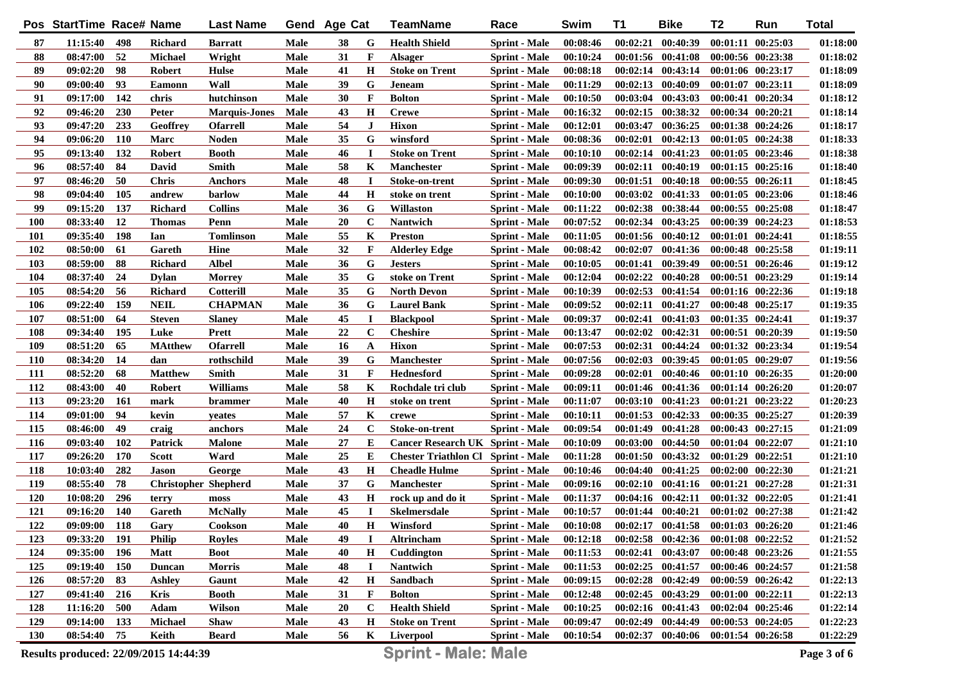|            | Pos StartTime Race# Name |            |                                       | <b>Last Name</b>     |             | Gend Age Cat |              | TeamName                                  | Race                 | Swim     | <b>T1</b> | <b>Bike</b>                         | T <sub>2</sub>        | Run                   | <b>Total</b> |
|------------|--------------------------|------------|---------------------------------------|----------------------|-------------|--------------|--------------|-------------------------------------------|----------------------|----------|-----------|-------------------------------------|-----------------------|-----------------------|--------------|
| 87         | 11:15:40                 | 498        | Richard                               | <b>Barratt</b>       | Male        | 38           | G            | <b>Health Shield</b>                      | <b>Sprint - Male</b> | 00:08:46 |           | $00:02:21$ $00:40:39$               |                       | 00:01:11 00:25:03     | 01:18:00     |
| 88         | 08:47:00                 | 52         | <b>Michael</b>                        | Wright               | Male        | 31           | F            | <b>Alsager</b>                            | <b>Sprint</b> - Male | 00:10:24 |           | $00:01:56$ $00:41:08$               |                       | 00:00:56 00:23:38     | 01:18:02     |
| 89         | 09:02:20                 | 98         | Robert                                | <b>Hulse</b>         | Male        | 41           | $\mathbf H$  | <b>Stoke on Trent</b>                     | <b>Sprint - Male</b> | 00:08:18 |           | $00:02:14$ $00:43:14$               | $00:01:06$ $00:23:17$ |                       | 01:18:09     |
| 90         | 09:00:40                 | 93         | <b>Eamonn</b>                         | Wall                 | Male        | 39           | G            | <b>Jeneam</b>                             | <b>Sprint - Male</b> | 00:11:29 |           | $00:02:13$ $00:40:09$               | 00:01:07 00:23:11     |                       | 01:18:09     |
| 91         | 09:17:00                 | 142        | chris                                 | hutchinson           | Male        | 30           | $\mathbf{F}$ | <b>Bolton</b>                             | <b>Sprint - Male</b> | 00:10:50 |           | $00:03:04$ $00:43:03$               | 00:00:41 00:20:34     |                       | 01:18:12     |
| 92         | 09:46:20                 | 230        | Peter                                 | <b>Marquis-Jones</b> | Male        | 43           | $\mathbf H$  | <b>Crewe</b>                              | <b>Sprint</b> - Male | 00:16:32 |           | $00:02:15$ $00:38:32$               | 00:00:34 00:20:21     |                       | 01:18:14     |
| 93         | 09:47:20                 | 233        | <b>Geoffrey</b>                       | <b>Ofarrell</b>      | Male        | 54           | $\bf J$      | <b>Hixon</b>                              | <b>Sprint</b> - Male | 00:12:01 |           | 00:03:47 00:36:25                   |                       | 00:01:38 00:24:26     | 01:18:17     |
| 94         | 09:06:20                 | <b>110</b> | Marc                                  | <b>Noden</b>         | Male        | 35           | G            | winsford                                  | <b>Sprint</b> - Male | 00:08:36 |           | $00:02:01$ $00:42:13$               | $00:01:05$ $00:24:38$ |                       | 01:18:33     |
| 95         | 09:13:40                 | 132        | <b>Robert</b>                         | <b>Booth</b>         | Male        | 46           | $\bf I$      | <b>Stoke on Trent</b>                     | <b>Sprint</b> - Male | 00:10:10 |           | 00:02:14 00:41:23                   | $00:01:05$ $00:23:46$ |                       | 01:18:38     |
| 96         | 08:57:40                 | 84         | David                                 | <b>Smith</b>         | Male        | 58           | K            | <b>Manchester</b>                         | <b>Sprint</b> - Male | 00:09:39 |           | $00:02:11$ $00:40:19$               | $00:01:15$ $00:25:16$ |                       | 01:18:40     |
| 97         | 08:46:20                 | 50         | <b>Chris</b>                          | <b>Anchors</b>       | Male        | 48           | П            | Stoke-on-trent                            | <b>Sprint</b> - Male | 00:09:30 |           | 00:01:51 00:40:18                   | $00:00:55$ $00:26:11$ |                       | 01:18:45     |
| 98         | 09:04:40                 | 105        | andrew                                | barlow               | Male        | 44           | H            | stoke on trent                            | <b>Sprint</b> - Male | 00:10:00 |           | 00:03:02 00:41:33                   | $00:01:05$ $00:23:06$ |                       | 01:18:46     |
| 99         | 09:15:20                 | 137        | Richard                               | <b>Collins</b>       | Male        | 36           | G            | <b>Willaston</b>                          | <b>Sprint</b> - Male | 00:11:22 |           | 00:02:38 00:38:44                   | $00:00:55$ $00:25:08$ |                       | 01:18:47     |
| 100        | 08:33:40                 | <b>12</b>  | <b>Thomas</b>                         | Penn                 | Male        | 20           | $\mathbf C$  | Nantwich                                  | <b>Sprint</b> - Male | 00:07:52 |           | 00:02:34 00:43:25                   | 00:00:39 00:24:23     |                       | 01:18:53     |
| 101        | 09:35:40                 | 198        | Ian                                   | <b>Tomlinson</b>     | Male        | 55           | K            | <b>Preston</b>                            | <b>Sprint - Male</b> | 00:11:05 |           | 00:01:56 00:40:12                   | $00:01:01$ $00:24:41$ |                       | 01:18:55     |
| 102        | 08:50:00                 | 61         | Gareth                                | Hine                 | Male        | 32           | $\mathbf{F}$ | <b>Alderley Edge</b>                      | <b>Sprint</b> - Male | 00:08:42 | 00:02:07  | 00:41:36                            | $00:00:48$ $00:25:58$ |                       | 01:19:11     |
| 103        | 08:59:00                 | 88         | Richard                               | <b>Albel</b>         | Male        | 36           | G            | <b>Jesters</b>                            | <b>Sprint - Male</b> | 00:10:05 |           | 00:01:41 00:39:49                   |                       | $00:00:51$ $00:26:46$ | 01:19:12     |
| 104        | 08:37:40                 | 24         | <b>Dylan</b>                          | <b>Morrey</b>        | Male        | 35           | G            | stoke on Trent                            | <b>Sprint - Male</b> | 00:12:04 |           | 00:02:22 00:40:28                   | 00:00:51 00:23:29     |                       | 01:19:14     |
| 105        | 08:54:20                 | -56        | <b>Richard</b>                        | <b>Cotterill</b>     | Male        | 35           | G            | <b>North Devon</b>                        | <b>Sprint</b> - Male | 00:10:39 |           | $00:02:53$ $00:41:54$               | 00:01:16 00:22:36     |                       | 01:19:18     |
| 106        | 09:22:40                 | 159        | <b>NEIL</b>                           | <b>CHAPMAN</b>       | Male        | 36           | G            | <b>Laurel Bank</b>                        | <b>Sprint - Male</b> | 00:09:52 |           | 00:02:11 00:41:27                   |                       | 00:00:48 00:25:17     | 01:19:35     |
| 107        | 08:51:00                 | 64         | <b>Steven</b>                         | <b>Slaney</b>        | Male        | 45           | $\mathbf I$  | <b>Blackpool</b>                          | <b>Sprint - Male</b> | 00:09:37 |           | 00:02:41 00:41:03                   | 00:01:35 00:24:41     |                       | 01:19:37     |
| 108        | 09:34:40                 | 195        | Luke                                  | Prett                | Male        | 22           | $\mathbf C$  | <b>Cheshire</b>                           | <b>Sprint - Male</b> | 00:13:47 |           | $00:02:02$ $00:42:31$               | 00:00:51 00:20:39     |                       | 01:19:50     |
| 109        | 08:51:20                 | 65         | <b>MAtthew</b>                        | <b>Ofarrell</b>      | Male        | 16           | A            | <b>Hixon</b>                              | <b>Sprint - Male</b> | 00:07:53 |           | 00:02:31 00:44:24                   | 00:01:32 00:23:34     |                       | 01:19:54     |
| <b>110</b> | 08:34:20                 | 14         | dan                                   | rothschild           | Male        | 39           | G            | <b>Manchester</b>                         | <b>Sprint - Male</b> | 00:07:56 |           | 00:02:03 00:39:45                   | $00:01:05$ $00:29:07$ |                       | 01:19:56     |
| 111        | 08:52:20                 | 68         | <b>Matthew</b>                        | <b>Smith</b>         | Male        | 31           | F            | <b>Hednesford</b>                         | <b>Sprint</b> - Male | 00:09:28 |           | $00:02:01$ $00:40:46$               | 00:01:10 00:26:35     |                       | 01:20:00     |
| 112        | 08:43:00                 | 40         | Robert                                | <b>Williams</b>      | Male        | 58           | K            | Rochdale tri club                         | <b>Sprint - Male</b> | 00:09:11 |           | 00:01:46 00:41:36                   |                       | $00:01:14$ $00:26:20$ | 01:20:07     |
| 113        | 09:23:20                 | <b>161</b> | mark                                  | brammer              | Male        | 40           | $\mathbf H$  | stoke on trent                            | <b>Sprint</b> - Male | 00:11:07 |           | 00:03:10 00:41:23                   |                       | 00:01:21 00:23:22     | 01:20:23     |
| 114        | 09:01:00                 | 94         | kevin                                 | yeates               | Male        | 57           | K            | crewe                                     | <b>Sprint</b> - Male | 00:10:11 |           | 00:01:53 00:42:33                   | $00:00:35$ $00:25:27$ |                       | 01:20:39     |
| 115        | 08:46:00                 | 49         | craig                                 | anchors              | Male        | 24           | $\mathbf C$  | Stoke-on-trent                            | <b>Sprint</b> - Male | 00:09:54 | 00:01:49  | 00:41:28                            |                       | $00:00:43$ $00:27:15$ | 01:21:09     |
| 116        | 09:03:40                 | <b>102</b> | <b>Patrick</b>                        | <b>Malone</b>        | Male        | 27           | E            | <b>Cancer Research UK Sprint - Male</b>   |                      | 00:10:09 | 00:03:00  | 00:44:50                            | 00:01:04 00:22:07     |                       | 01:21:10     |
| 117        | 09:26:20                 | <b>170</b> | <b>Scott</b>                          | Ward                 | Male        | 25           | Е            | <b>Chester Triathlon Cl Sprint - Male</b> |                      | 00:11:28 |           | 00:01:50 00:43:32                   | 00:01:29 00:22:51     |                       | 01:21:10     |
| 118        | 10:03:40                 | 282        | Jason                                 | George               | Male        | 43           | $\mathbf H$  | <b>Cheadle Hulme</b>                      | <b>Sprint</b> - Male | 00:10:46 | 00:04:40  | 00:41:25                            |                       | 00:02:00 00:22:30     | 01:21:21     |
| 119        | 08:55:40                 | 78         | <b>Christopher Shepherd</b>           |                      | Male        | 37           | G            | <b>Manchester</b>                         | <b>Sprint</b> - Male | 00:09:16 |           | $00:02:10$ $00:41:16$               |                       | $00:01:21$ $00:27:28$ | 01:21:31     |
| 120        | 10:08:20                 | 296        | terry                                 | moss                 | Male        | 43           | $\mathbf H$  | rock up and do it                         | <b>Sprint</b> - Male | 00:11:37 |           | 00:04:16 00:42:11                   | $00:01:32$ $00:22:05$ |                       | 01:21:41     |
| 121        | 09:16:20                 | <b>140</b> | Gareth                                | <b>McNally</b>       | Male        | 45           | $\bf{I}$     | <b>Skelmersdale</b>                       | <b>Sprint</b> - Male | 00:10:57 |           | 00:01:44 00:40:21                   |                       | $00:01:02$ $00:27:38$ | 01:21:42     |
| 122        | 09:09:00                 | 118        | Gary                                  | Cookson              | Male        | 40           | $\bf H$      | Winsford                                  | <b>Sprint</b> - Male | 00:10:08 |           | $00:02:17$ $00:41:58$               | $00:01:03$ $00:26:20$ |                       | 01:21:46     |
| 123        | 09:33:20 191             |            | <b>Philip</b>                         | <b>Royles</b>        | Male        | 49           | $\bf{I}$     | Altrincham                                | <b>Sprint - Male</b> | 00:12:18 |           | 00:02:58 00:42:36 00:01:08 00:22:52 |                       |                       | 01:21:52     |
| 124        | 09:35:00                 | 196        | <b>Matt</b>                           | <b>Boot</b>          | Male        | 40           | H            | Cuddington                                | <b>Sprint - Male</b> | 00:11:53 |           | 00:02:41 00:43:07                   |                       | 00:00:48 00:23:26     | 01:21:55     |
| 125        | 09:19:40                 | <b>150</b> | <b>Duncan</b>                         | <b>Morris</b>        | Male        | 48           |              | Nantwich                                  | <b>Sprint - Male</b> | 00:11:53 |           | 00:02:25 00:41:57                   |                       | 00:00:46 00:24:57     | 01:21:58     |
| 126        | 08:57:20                 | 83         | <b>Ashley</b>                         | Gaunt                | Male        | 42           | $\bf H$      | Sandbach                                  | <b>Sprint - Male</b> | 00:09:15 |           | 00:02:28 00:42:49                   |                       | 00:00:59 00:26:42     | 01:22:13     |
| 127        | 09:41:40                 | 216        | Kris                                  | <b>Booth</b>         | Male        | 31           | F            | <b>Bolton</b>                             | <b>Sprint - Male</b> | 00:12:48 |           | $00:02:45$ $00:43:29$               |                       | $00:01:00$ $00:22:11$ | 01:22:13     |
| 128        | 11:16:20                 | 500        | Adam                                  | <b>Wilson</b>        | <b>Male</b> | <b>20</b>    | $\mathbf c$  | <b>Health Shield</b>                      | <b>Sprint - Male</b> | 00:10:25 |           | $00:02:16$ $00:41:43$               |                       | 00:02:04 00:25:46     | 01:22:14     |
| 129        | 09:14:00                 | 133        | <b>Michael</b>                        | <b>Shaw</b>          | Male        | 43           | H            | <b>Stoke on Trent</b>                     | <b>Sprint - Male</b> | 00:09:47 |           | $00:02:49$ $00:44:49$               |                       | 00:00:53 00:24:05     | 01:22:23     |
| <b>130</b> | 08:54:40                 | 75         | Keith                                 | <b>Beard</b>         | Male        | 56           | $\mathbf{K}$ | Liverpool                                 | <b>Sprint - Male</b> | 00:10:54 |           | 00:02:37 00:40:06                   | 00:01:54 00:26:58     |                       | 01:22:29     |
|            |                          |            | Results produced: 22/09/2015 14:44:39 |                      |             |              |              | <b>Sprint - Male: Male</b>                |                      |          |           |                                     |                       |                       | Page 3 of 6  |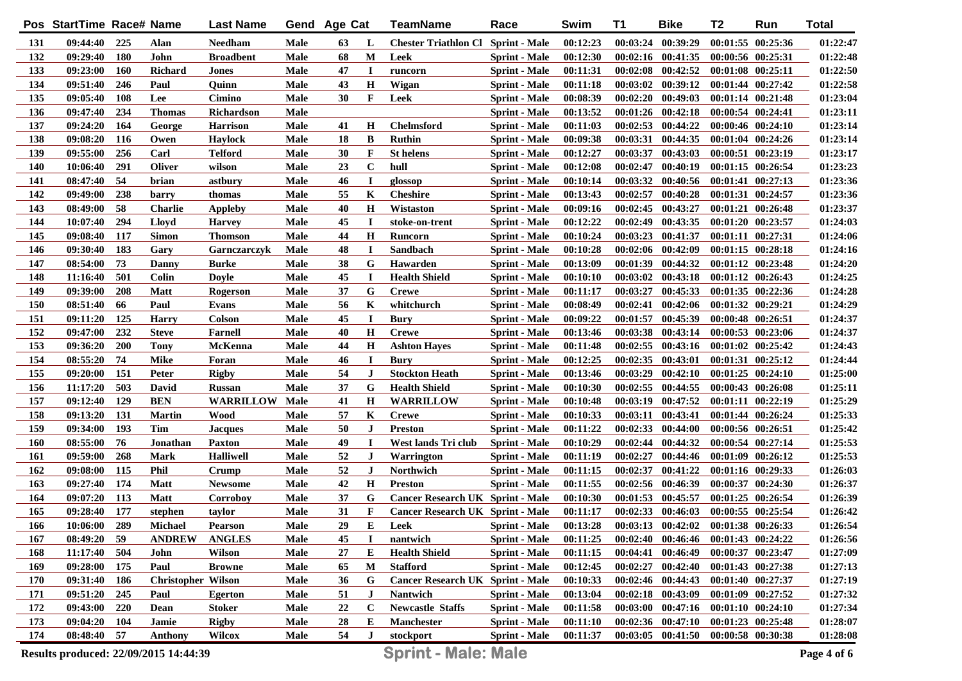|            | Pos StartTime Race# Name |            |                                       | <b>Last Name</b>      |             | Gend Age Cat |             | <b>TeamName</b>                           | Race                 | Swim     | <b>T1</b> | <b>Bike</b>                         | T2                    | Run                   | <b>Total</b> |
|------------|--------------------------|------------|---------------------------------------|-----------------------|-------------|--------------|-------------|-------------------------------------------|----------------------|----------|-----------|-------------------------------------|-----------------------|-----------------------|--------------|
| 131        | $09:44:40$ 225           |            | Alan                                  | <b>Needham</b>        | Male        | 63           | L           | <b>Chester Triathlon Cl Sprint - Male</b> |                      | 00:12:23 |           | 00:03:24 00:39:29                   |                       | $00:01:55$ $00:25:36$ | 01:22:47     |
| 132        | 09:29:40                 | 180        | John                                  | <b>Broadbent</b>      | Male        | 68           | M           | Leek                                      | <b>Sprint</b> - Male | 00:12:30 |           | 00:02:16 00:41:35                   | 00:00:56 00:25:31     |                       | 01:22:48     |
| 133        | 09:23:00                 | <b>160</b> | Richard                               | Jones                 | <b>Male</b> | 47           | $\bf{I}$    | runcorn                                   | <b>Sprint</b> - Male | 00:11:31 |           | $00:02:08$ $00:42:52$               |                       | $00:01:08$ $00:25:11$ | 01:22:50     |
| 134        | 09:51:40                 | 246        | Paul                                  | Quinn                 | Male        | 43           | $\mathbf H$ | Wigan                                     | <b>Sprint - Male</b> | 00:11:18 |           | 00:03:02 00:39:12                   |                       | $00:01:44$ $00:27:42$ | 01:22:58     |
| 135        | 09:05:40                 | 108        | Lee                                   | Cimino                | Male        | 30           | F           | Leek                                      | <b>Sprint - Male</b> | 00:08:39 |           | $00:02:20$ $00:49:03$               | $00:01:14$ $00:21:48$ |                       | 01:23:04     |
| 136        | 09:47:40                 | 234        | <b>Thomas</b>                         | <b>Richardson</b>     | Male        |              |             |                                           | <b>Sprint - Male</b> | 00:13:52 |           | $00:01:26$ $00:42:18$               | 00:00:54 00:24:41     |                       | 01:23:11     |
| 137        | 09:24:20                 | 164        | George                                | <b>Harrison</b>       | Male        | 41           | $\mathbf H$ | <b>Chelmsford</b>                         | <b>Sprint - Male</b> | 00:11:03 |           | $00:02:53$ $00:44:22$               |                       | 00:00:46 00:24:10     | 01:23:14     |
| 138        | 09:08:20                 | 116        | Owen                                  | <b>Haylock</b>        | Male        | 18           | B           | <b>Ruthin</b>                             | <b>Sprint - Male</b> | 00:09:38 |           | 00:03:31 00:44:35                   | $00:01:04$ $00:24:26$ |                       | 01:23:14     |
| 139        | 09:55:00                 | 256        | Carl                                  | <b>Telford</b>        | <b>Male</b> | 30           | $\mathbf F$ | <b>St helens</b>                          | <b>Sprint - Male</b> | 00:12:27 | 00:03:37  | 00:43:03                            | 00:00:51 00:23:19     |                       | 01:23:17     |
| 140        | 10:06:40                 | 291        | Oliver                                | wilson                | <b>Male</b> | 23           | $\mathbf C$ | hull                                      | <b>Sprint - Male</b> | 00:12:08 | 00:02:47  | 00:40:19                            | $00:01:15$ $00:26:54$ |                       | 01:23:23     |
| 141        | 08:47:40                 | 54         | brian                                 | astbury               | <b>Male</b> | 46           | $\bf{I}$    | glossop                                   | <b>Sprint - Male</b> | 00:10:14 |           | 00:03:32 00:40:56                   |                       | $00:01:41$ $00:27:13$ | 01:23:36     |
| 142        | 09:49:00                 | 238        | barry                                 | thomas                | <b>Male</b> | 55           | K           | <b>Cheshire</b>                           | <b>Sprint - Male</b> | 00:13:43 | 00:02:57  | 00:40:28                            | 00:01:31 00:24:57     |                       | 01:23:36     |
| 143        | 08:49:00                 | 58         | <b>Charlie</b>                        | <b>Appleby</b>        | Male        | 40           | $\mathbf H$ | Wistaston                                 | <b>Sprint - Male</b> | 00:09:16 |           | $00:02:45$ $00:43:27$               |                       | 00:01:21 00:26:48     | 01:23:37     |
| 144        | 10:07:40                 | 294        | Lloyd                                 | <b>Harvey</b>         | <b>Male</b> | 45           | $\bf{I}$    | stoke-on-trent                            | <b>Sprint - Male</b> | 00:12:22 |           | 00:02:49 00:43:35                   | $00:01:20$ $00:23:57$ |                       | 01:24:03     |
| 145        | 09:08:40                 | 117        | <b>Simon</b>                          | <b>Thomson</b>        | <b>Male</b> | 44           | $\mathbf H$ | Runcorn                                   | <b>Sprint - Male</b> | 00:10:24 |           | 00:03:23 00:41:37                   | 00:01:11 00:27:31     |                       | 01:24:06     |
| 146        | 09:30:40                 | 183        | Gary                                  | Garnczarczyk          | Male        | 48           | <b>I</b>    | <b>Sandbach</b>                           | <b>Sprint - Male</b> | 00:10:28 |           | 00:02:06 00:42:09                   |                       | $00:01:15$ $00:28:18$ | 01:24:16     |
| 147        | 08:54:00                 | 73         | Danny                                 | <b>Burke</b>          | <b>Male</b> | 38           | G           | Hawarden                                  | <b>Sprint - Male</b> | 00:13:09 | 00:01:39  | 00:44:32                            | 00:01:12 00:23:48     |                       | 01:24:20     |
| 148        | 11:16:40                 | 501        | <b>Colin</b>                          | <b>Doyle</b>          | Male        | 45           | <b>I</b>    | <b>Health Shield</b>                      | <b>Sprint - Male</b> | 00:10:10 | 00:03:02  | 00:43:18                            |                       | 00:01:12 00:26:43     | 01:24:25     |
| 149        | 09:39:00                 | 208        | <b>Matt</b>                           | Rogerson              | Male        | 37           | G           | <b>Crewe</b>                              | <b>Sprint - Male</b> | 00:11:17 | 00:03:27  | 00:45:33                            |                       | 00:01:35 00:22:36     | 01:24:28     |
| 150        | 08:51:40                 | 66         | Paul                                  | Evans                 | Male        | 56           | K           | whitchurch                                | <b>Sprint - Male</b> | 00:08:49 |           | $00:02:41$ $00:42:06$               |                       | 00:01:32 00:29:21     | 01:24:29     |
| 151        | 09:11:20                 | 125        | <b>Harry</b>                          | Colson                | Male        | 45           | 1           | <b>Bury</b>                               | <b>Sprint - Male</b> | 00:09:22 | 00:01:57  | 00:45:39                            |                       | 00:00:48 00:26:51     | 01:24:37     |
| 152        | 09:47:00                 | 232        | <b>Steve</b>                          | Farnell               | Male        | 40           | H           | <b>Crewe</b>                              | <b>Sprint - Male</b> | 00:13:46 |           | 00:03:38 00:43:14                   |                       | 00:00:53 00:23:06     | 01:24:37     |
| 153        | 09:36:20                 | 200        | <b>Tony</b>                           | McKenna               | Male        | 44           | $\mathbf H$ | <b>Ashton Hayes</b>                       | <b>Sprint - Male</b> | 00:11:48 |           | $00:02:55$ $00:43:16$               |                       | $00:01:02$ $00:25:42$ | 01:24:43     |
| 154        | 08:55:20                 | 74         | <b>Mike</b>                           | Foran                 | Male        | 46           | $\bf I$     | Bury                                      | <b>Sprint - Male</b> | 00:12:25 |           | 00:02:35 00:43:01                   |                       | $00:01:31$ $00:25:12$ | 01:24:44     |
| 155        | 09:20:00                 | 151        | Peter                                 | <b>Rigby</b>          | Male        | 54           | $\bf J$     | <b>Stockton Heath</b>                     | <b>Sprint - Male</b> | 00:13:46 | 00:03:29  | 00:42:10                            |                       | $00:01:25$ $00:24:10$ | 01:25:00     |
| 156        | 11:17:20                 | 503        | David                                 | <b>Russan</b>         | Male        | 37           | G           | <b>Health Shield</b>                      | <b>Sprint - Male</b> | 00:10:30 | 00:02:55  | 00:44:55                            |                       | 00:00:43 00:26:08     | 01:25:11     |
| 157        | 09:12:40                 | 129        | <b>BEN</b>                            | <b>WARRILLOW Male</b> |             | 41           | $\mathbf H$ | <b>WARRILLOW</b>                          | Sprint - Male        | 00:10:48 | 00:03:19  | 00:47:52                            |                       | $00:01:11$ $00:22:19$ | 01:25:29     |
| 158        | 09:13:20                 | 131        | <b>Martin</b>                         | Wood                  | Male        | 57           | K           | <b>Crewe</b>                              | <b>Sprint - Male</b> | 00:10:33 |           | $00:03:11$ $00:43:41$               |                       | $00:01:44$ $00:26:24$ | 01:25:33     |
| 159        | 09:34:00                 | 193        | Tim                                   | <b>Jacques</b>        | Male        | 50           | $\bf J$     | <b>Preston</b>                            | <b>Sprint - Male</b> | 00:11:22 | 00:02:33  | 00:44:00                            |                       | 00:00:56 00:26:51     | 01:25:42     |
| <b>160</b> | 08:55:00                 | 76         | Jonathan                              | <b>Paxton</b>         | Male        | 49           | <b>I</b>    | West lands Tri club                       | <b>Sprint</b> - Male | 00:10:29 | 00:02:44  | 00:44:32                            |                       | 00:00:54 00:27:14     | 01:25:53     |
| 161        | 09:59:00                 | 268        | Mark                                  | <b>Halliwell</b>      | Male        | 52           | J           | Warrington                                | <b>Sprint</b> - Male | 00:11:19 | 00:02:27  | 00:44:46                            |                       | $00:01:09$ $00:26:12$ | 01:25:53     |
| 162        | 09:08:00                 | 115        | <b>Phil</b>                           | Crump                 | Male        | 52           | J           | <b>Northwich</b>                          | <b>Sprint - Male</b> | 00:11:15 | 00:02:37  | 00:41:22                            |                       | 00:01:16 00:29:33     | 01:26:03     |
| 163        | 09:27:40                 | 174        | <b>Matt</b>                           | Newsome               | Male        | 42           | $\mathbf H$ | <b>Preston</b>                            | <b>Sprint</b> - Male | 00:11:55 | 00:02:56  | 00:46:39                            |                       | 00:00:37 00:24:30     | 01:26:37     |
| 164        | 09:07:20                 | 113        | <b>Matt</b>                           | Corroboy              | Male        | 37           | G           | <b>Cancer Research UK Sprint - Male</b>   |                      | 00:10:30 | 00:01:53  | 00:45:57                            |                       | 00:01:25 00:26:54     | 01:26:39     |
| 165        | 09:28:40                 | 177        | stephen                               | taylor                | Male        | 31           | F           | <b>Cancer Research UK Sprint - Male</b>   |                      | 00:11:17 |           | $00:02:33$ $00:46:03$               |                       | 00:00:55 00:25:54     | 01:26:42     |
| 166        | 10:06:00                 | 289        | <b>Michael</b>                        | Pearson               | Male        | 29           | E           | Leek                                      | <b>Sprint - Male</b> | 00:13:28 |           | $00:03:13$ $00:42:02$               | 00:01:38 00:26:33     |                       | 01:26:54     |
| 167        | 08:49:20                 | - 59       | ANDREW ANGLES                         |                       | <b>Male</b> | 45           | $\bf I$     | nantwich                                  | <b>Sprint - Male</b> | 00:11:25 |           | $00:02:40$ $00:46:46$               | $00:01:43$ $00:24:22$ |                       | 01:26:56     |
| 168        | 11:17:40                 | 504        | John                                  | Wilson                | Male        | 27           | Е           | <b>Health Shield</b>                      | <b>Sprint - Male</b> | 00:11:15 |           | 00:04:41 00:46:49                   | 00:00:37 00:23:47     |                       | 01:27:09     |
| 169        | 09:28:00                 | 175        | Paul                                  | <b>Browne</b>         | Male        | 65           | M           | <b>Stafford</b>                           | <b>Sprint - Male</b> | 00:12:45 |           | $00:02:27$ $00:42:40$               | 00:01:43 00:27:38     |                       | 01:27:13     |
| 170        | 09:31:40                 | 186        | <b>Christopher Wilson</b>             |                       | Male        | 36           | G           | <b>Cancer Research UK Sprint - Male</b>   |                      | 00:10:33 |           | $00:02:46$ $00:44:43$               |                       | 00:01:40 00:27:37     | 01:27:19     |
| 171        | 09:51:20                 | 245        | Paul                                  | <b>Egerton</b>        | Male        | 51           | $\bf J$     | Nantwich                                  | <b>Sprint - Male</b> | 00:13:04 |           | $00:02:18$ $00:43:09$               |                       | 00:01:09 00:27:52     | 01:27:32     |
| 172        | 09:43:00                 | 220        | Dean                                  | <b>Stoker</b>         | Male        | 22           | $\mathbf C$ | <b>Newcastle Staffs</b>                   | <b>Sprint - Male</b> | 00:11:58 |           | $00:03:00$ $00:47:16$               | $00:01:10$ $00:24:10$ |                       | 01:27:34     |
| 173        | 09:04:20                 | 104        | Jamie                                 | <b>Rigby</b>          | Male        | 28           | Е           | <b>Manchester</b>                         | <b>Sprint - Male</b> | 00:11:10 |           | $00:02:36$ $00:47:10$               | 00:01:23 00:25:48     |                       | 01:28:07     |
| 174        | 08:48:40 57              |            | <b>Anthony</b>                        | <b>Wilcox</b>         | Male        | 54           | J           | stockport                                 | <b>Sprint - Male</b> | 00:11:37 |           | 00:03:05 00:41:50 00:00:58 00:30:38 |                       |                       | 01:28:08     |
|            |                          |            | Results produced: 22/09/2015 14:44:39 |                       |             |              |             | <b>Sprint - Male: Male</b>                |                      |          |           |                                     |                       |                       | Page 4 of 6  |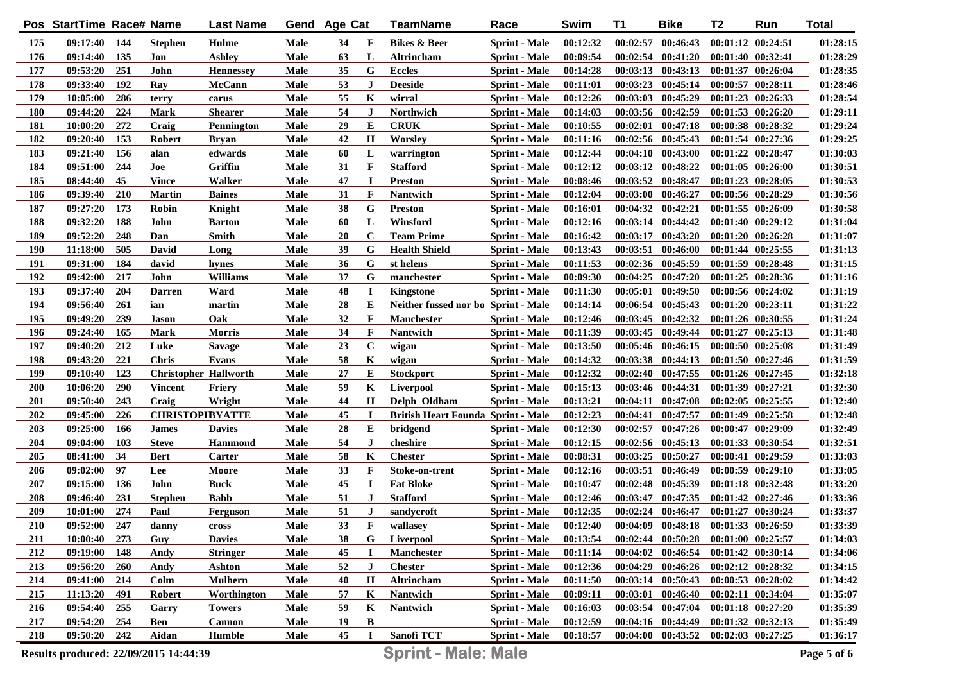|            | Pos StartTime Race# Name |            |                                       | <b>Last Name</b> |             | Gend Age Cat |              | <b>TeamName</b>                           | Race                 | Swim     | <b>T1</b> | <b>Bike</b>           | T <sub>2</sub> | Run                   | <b>Total</b> |
|------------|--------------------------|------------|---------------------------------------|------------------|-------------|--------------|--------------|-------------------------------------------|----------------------|----------|-----------|-----------------------|----------------|-----------------------|--------------|
| 175        | 09:17:40                 | 144        | <b>Stephen</b>                        | Hulme            | Male        | 34           | F            | <b>Bikes &amp; Beer</b>                   | <b>Sprint - Male</b> | 00:12:32 |           | $00:02:57$ $00:46:43$ |                | $00:01:12$ $00:24:51$ | 01:28:15     |
| 176        | 09:14:40                 | 135        | Jon                                   | <b>Ashley</b>    | Male        | 63           | L            | Altrincham                                | <b>Sprint - Male</b> | 00:09:54 |           | $00:02:54$ $00:41:20$ |                | 00:01:40 00:32:41     | 01:28:29     |
| 177        | 09:53:20                 | 251        | John                                  | <b>Hennessey</b> | Male        | 35           | G            | <b>Eccles</b>                             | <b>Sprint - Male</b> | 00:14:28 |           | $00:03:13$ $00:43:13$ |                | 00:01:37 00:26:04     | 01:28:35     |
| 178        | 09:33:40                 | 192        | Ray                                   | McCann           | Male        | 53           | $\mathbf{J}$ | <b>Deeside</b>                            | <b>Sprint - Male</b> | 00:11:01 |           | 00:03:23 00:45:14     |                | $00:00:57$ $00:28:11$ | 01:28:46     |
| 179        | 10:05:00                 | 286        | terry                                 | carus            | Male        | 55           | K            | wirral                                    | <b>Sprint - Male</b> | 00:12:26 |           | 00:03:03 00:45:29     |                | 00:01:23 00:26:33     | 01:28:54     |
| <b>180</b> | 09:44:20                 | 224        | <b>Mark</b>                           | <b>Shearer</b>   | <b>Male</b> | 54           | $\bf J$      | <b>Northwich</b>                          | <b>Sprint - Male</b> | 00:14:03 |           | 00:03:56 00:42:59     |                | 00:01:53 00:26:20     | 01:29:11     |
| 181        | 10:00:20                 | 272        | Craig                                 | Pennington       | Male        | 29           | Е            | <b>CRUK</b>                               | <b>Sprint - Male</b> | 00:10:55 |           | 00:02:01 00:47:18     |                | 00:00:38 00:28:32     | 01:29:24     |
| 182        | 09:20:40                 | 153        | <b>Robert</b>                         | <b>Bryan</b>     | Male        | 42           | $\bf H$      | Worsley                                   | <b>Sprint - Male</b> | 00:11:16 |           | $00:02:56$ $00:45:43$ |                | 00:01:54 00:27:36     | 01:29:25     |
| 183        | 09:21:40                 | 156        | alan                                  | edwards          | Male        | 60           | L            | warrington                                | <b>Sprint - Male</b> | 00:12:44 |           | 00:04:10 00:43:00     |                | 00:01:22 00:28:47     | 01:30:03     |
| 184        | 09:51:00                 | 244        | Joe                                   | Griffin          | Male        | 31           | F            | <b>Stafford</b>                           | <b>Sprint - Male</b> | 00:12:12 |           | 00:03:12 00:48:22     |                | $00:01:05$ $00:26:00$ | 01:30:51     |
| 185        | 08:44:40                 | 45         | <b>Vince</b>                          | Walker           | <b>Male</b> | 47           | $\bf{I}$     | <b>Preston</b>                            | <b>Sprint - Male</b> | 00:08:46 |           | 00:03:52 00:48:47     |                | $00:01:23$ $00:28:05$ | 01:30:53     |
| 186        | 09:39:40                 | 210        | <b>Martin</b>                         | <b>Baines</b>    | Male        | 31           | F            | <b>Nantwich</b>                           | <b>Sprint</b> - Male | 00:12:04 |           | 00:03:00 00:46:27     |                | 00:00:56 00:28:29     | 01:30:56     |
| 187        | 09:27:20                 | 173        | Robin                                 | Knight           | Male        | 38           | G            | Preston                                   | <b>Sprint - Male</b> | 00:16:01 |           | $00:04:32$ $00:42:21$ |                | 00:01:55 00:26:09     | 01:30:58     |
| 188        | 09:32:20                 | 188        | John                                  | <b>Barton</b>    | <b>Male</b> | 60           | L            | Winsford                                  | <b>Sprint - Male</b> | 00:12:16 |           | $00:03:14$ $00:44:42$ |                | 00:01:40 00:29:12     | 01:31:04     |
| 189        | 09:52:20                 | 248        | Dan                                   | Smith            | Male        | 20           | C            | <b>Team Prime</b>                         | <b>Sprint</b> - Male | 00:16:42 |           | $00:03:17$ $00:43:20$ |                | $00:01:20$ $00:26:28$ | 01:31:07     |
| 190        | 11:18:00                 | 505        | David                                 | Long             | Male        | 39           | G            | <b>Health Shield</b>                      | <b>Sprint - Male</b> | 00:13:43 |           | $00:03:51$ $00:46:00$ |                | 00:01:44 00:25:55     | 01:31:13     |
| 191        | 09:31:00                 | 184        | david                                 | hynes            | <b>Male</b> | 36           | G            | st helens                                 | <b>Sprint - Male</b> | 00:11:53 |           | 00:02:36 00:45:59     |                | 00:01:59 00:28:48     | 01:31:15     |
| 192        | 09:42:00                 | 217        | John                                  | <b>Williams</b>  | Male        | 37           | G            | manchester                                | <b>Sprint - Male</b> | 00:09:30 |           | $00:04:25$ $00:47:20$ |                | $00:01:25$ $00:28:36$ | 01:31:16     |
| 193        | 09:37:40                 | 204        | <b>Darren</b>                         | Ward             | Male        | 48           | I            | <b>Kingstone</b>                          | <b>Sprint</b> - Male | 00:11:30 |           | $00:05:01$ $00:49:50$ |                | 00:00:56 00:24:02     | 01:31:19     |
| 194        | 09:56:40                 | 261        | ian                                   | martin           | <b>Male</b> | 28           | E            | Neither fussed nor bo Sprint - Male       |                      | 00:14:14 |           | 00:06:54 00:45:43     |                | 00:01:20 00:23:11     | 01:31:22     |
| 195        | 09:49:20                 | 239        | <b>Jason</b>                          | Oak              | Male        | 32           | F            | <b>Manchester</b>                         | <b>Sprint</b> - Male | 00:12:46 |           | 00:03:45 00:42:32     |                | 00:01:26 00:30:55     | 01:31:24     |
| 196        | 09:24:40                 | 165        | <b>Mark</b>                           | Morris           | Male        | 34           | $\mathbf{F}$ | Nantwich                                  | <b>Sprint</b> - Male | 00:11:39 |           | $00:03:45$ $00:49:44$ |                | $00:01:27$ $00:25:13$ | 01:31:48     |
| 197        | 09:40:20                 | 212        | Luke                                  | <b>Savage</b>    | Male        | 23           | $\mathbf C$  | wigan                                     | <b>Sprint - Male</b> | 00:13:50 |           | $00:05:46$ $00:46:15$ |                | $00:00:50$ $00:25:08$ | 01:31:49     |
| 198        | 09:43:20                 | 221        | <b>Chris</b>                          | <b>Evans</b>     | Male        | 58           | K            | wigan                                     | <b>Sprint</b> - Male | 00:14:32 |           | 00:03:38 00:44:13     |                | 00:01:50 00:27:46     | 01:31:59     |
| 199        | 09:10:40                 | 123        | <b>Christopher Hallworth</b>          |                  | Male        | 27           | Е            | <b>Stockport</b>                          | <b>Sprint</b> - Male | 00:12:32 |           | 00:02:40 00:47:55     |                | 00:01:26 00:27:45     | 01:32:18     |
| 200        | 10:06:20                 | 290        | <b>Vincent</b>                        | Friery           | Male        | 59           | K            | <b>Liverpool</b>                          | <b>Sprint</b> - Male | 00:15:13 |           | 00:03:46 00:44:31     |                | 00:01:39 00:27:21     | 01:32:30     |
| 201        | 09:50:40                 | 243        | Craig                                 | Wright           | Male        | 44           | H            | Delph Oldham                              | <b>Sprint</b> - Male | 00:13:21 |           | 00:04:11 00:47:08     |                | $00:02:05$ $00:25:55$ | 01:32:40     |
| 202        | 09:45:00                 | 226        | <b>CHRISTOPHBYATTE</b>                |                  | Male        | 45           | $\bf I$      | <b>British Heart Founda Sprint - Male</b> |                      | 00:12:23 |           | 00:04:41 00:47:57     |                | 00:01:49 00:25:58     | 01:32:48     |
| 203        | 09:25:00                 | 166        | <b>James</b>                          | <b>Davies</b>    | Male        | 28           | Е            | bridgend                                  | <b>Sprint</b> - Male | 00:12:30 |           | 00:02:57 00:47:26     |                | 00:00:47 00:29:09     | 01:32:49     |
| 204        | 09:04:00                 | 103        | <b>Steve</b>                          | <b>Hammond</b>   | Male        | 54           | J            | cheshire                                  | <b>Sprint</b> - Male | 00:12:15 |           | 00:02:56 00:45:13     |                | 00:01:33 00:30:54     | 01:32:51     |
| 205        | 08:41:00                 | 34         | <b>Bert</b>                           | Carter           | Male        | 58           | K            | <b>Chester</b>                            | <b>Sprint</b> - Male | 00:08:31 |           | 00:03:25 00:50:27     |                | 00:00:41 00:29:59     | 01:33:03     |
| 206        | 09:02:00                 | 97         | Lee                                   | Moore            | Male        | 33           | $\mathbf{F}$ | Stoke-on-trent                            | <b>Sprint</b> - Male | 00:12:16 |           | 00:03:51 00:46:49     |                | 00:00:59 00:29:10     | 01:33:05     |
| 207        | 09:15:00                 | 136        | John                                  | <b>Buck</b>      | Male        | 45           | I            | <b>Fat Bloke</b>                          | <b>Sprint</b> - Male | 00:10:47 |           | 00:02:48 00:45:39     |                | 00:01:18 00:32:48     | 01:33:20     |
| 208        | 09:46:40                 | 231        | <b>Stephen</b>                        | <b>Babb</b>      | Male        | 51           | J            | <b>Stafford</b>                           | <b>Sprint</b> - Male | 00:12:46 |           | 00:03:47 00:47:35     |                | 00:01:42 00:27:46     | 01:33:36     |
| 209        | 10:01:00                 | 274        | Paul                                  | Ferguson         | Male        | 51           | J            | sandycroft                                | <b>Sprint - Male</b> | 00:12:35 | 00:02:24  | 00:46:47              |                | 00:01:27 00:30:24     | 01:33:37     |
| <b>210</b> | 09:52:00                 | 247        | dannv                                 | cross            | Male        | 33           | F            | wallasey                                  | <b>Sprint</b> - Male | 00:12:40 |           | 00:04:09 00:48:18     |                | 00:01:33 00:26:59     | 01:33:39     |
| 211        | 10:00:40                 | 273        | Guy                                   | <b>Davies</b>    | Male        | 38           | G            | Liverpool                                 | <b>Sprint</b> - Male | 00:13:54 |           | $00:02:44$ $00:50:28$ |                | $00:01:00$ $00:25:57$ | 01:34:03     |
| 212        | 09:19:00                 | 148        | Andy                                  | <b>Stringer</b>  | Male        | 45           |              | <b>Manchester</b>                         | <b>Sprint - Male</b> | 00:11:14 |           | $00:04:02$ $00:46:54$ |                | 00:01:42 00:30:14     | 01:34:06     |
| 213        | 09:56:20                 | <b>260</b> | Andy                                  | Ashton           | Male        | 52           | J            | <b>Chester</b>                            | <b>Sprint - Male</b> | 00:12:36 |           | 00:04:29 00:46:26     |                | 00:02:12 00:28:32     | 01:34:15     |
| 214        | 09:41:00                 | 214        | Colm                                  | <b>Mulhern</b>   | Male        | 40           | $\bf H$      | Altrincham                                | <b>Sprint - Male</b> | 00:11:50 |           | 00:03:14 00:50:43     |                | 00:00:53 00:28:02     | 01:34:42     |
| 215        | 11:13:20                 | 491        | <b>Robert</b>                         | Worthington      | Male        | 57           | K            | Nantwich                                  | <b>Sprint - Male</b> | 00:09:11 |           | $00:03:01$ $00:46:40$ |                | 00:02:11 00:34:04     | 01:35:07     |
| 216        | 09:54:40                 | 255        | Garry                                 | <b>Towers</b>    | Male        | 59           | K            | Nantwich                                  | <b>Sprint - Male</b> | 00:16:03 |           | $00:03:54$ $00:47:04$ |                | $00:01:18$ $00:27:20$ | 01:35:39     |
| 217        | 09:54:20                 | 254        | Ben                                   | <b>Cannon</b>    | Male        | 19           | В            |                                           | <b>Sprint - Male</b> | 00:12:59 |           | 00:04:16 00:44:49     |                | 00:01:32 00:32:13     | 01:35:49     |
| 218        | 09:50:20                 | 242        | Aidan                                 | <b>Humble</b>    | Male        | 45           | $\bf{I}$     | Sanofi TCT                                | <b>Sprint - Male</b> | 00:18:57 |           | 00:04:00 00:43:52     |                | 00:02:03 00:27:25     | 01:36:17     |
|            |                          |            |                                       |                  |             |              |              |                                           |                      |          |           |                       |                |                       |              |
|            |                          |            | Results produced: 22/09/2015 14:44:39 |                  |             |              |              | <b>Sprint - Male: Male</b>                |                      |          |           |                       |                |                       | Page 5 of 6  |